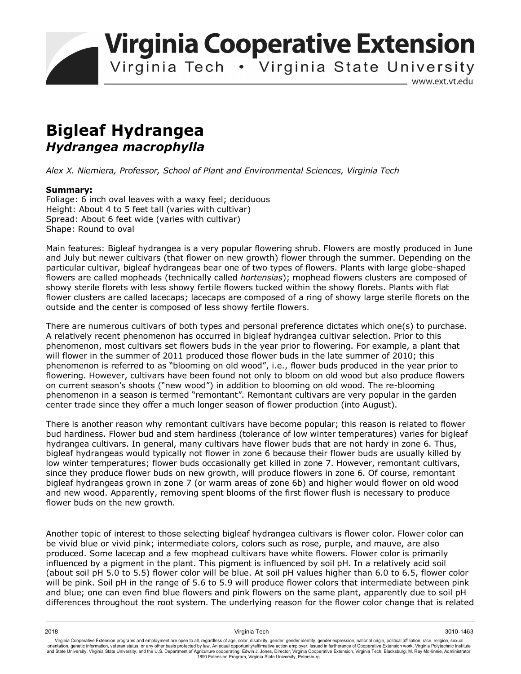**Virginia Cooperative Extension** 

Virginia Tech . Virginia State University

www.ext.vt.edu

# **Bigleaf Hydrangea**  *Hydrangea macrophylla*

*Alex X. Niemiera, Professor, School of Plant and Environmental Sciences, Virginia Tech* 

## **Summary:**

Foliage: 6 inch oval leaves with a waxy feel; deciduous Height: About 4 to 5 feet tall (varies with cultivar) Spread: About 6 feet wide (varies with cultivar) Shape: Round to oval

Main features: Bigleaf hydrangea is a very popular flowering shrub. Flowers are mostly produced in June and July but newer cultivars (that flower on new growth) flower through the summer. Depending on the particular cultivar, bigleaf hydrangeas bear one of two types of flowers. Plants with large globe-shaped flowers are called mopheads (technically called *hortensias*); mophead flowers clusters are composed of showy sterile florets with less showy fertile flowers tucked within the showy florets. Plants with flat flower clusters are called lacecaps; lacecaps are composed of a ring of showy large sterile florets on the outside and the center is composed of less showy fertile flowers.

There are numerous cultivars of both types and personal preference dictates which one(s) to purchase. A relatively recent phenomenon has occurred in bigleaf hydrangea cultivar selection. Prior to this phenomenon, most cultivars set flowers buds in the year prior to flowering. For example, a plant that will flower in the summer of 2011 produced those flower buds in the late summer of 2010; this phenomenon is referred to as "blooming on old wood", i.e., flower buds produced in the year prior to flowering. However, cultivars have been found not only to bloom on old wood but also produce flowers on current season's shoots ("new wood") in addition to blooming on old wood. The re-blooming phenomenon in a season is termed "remontant". Remontant cultivars are very popular in the garden center trade since they offer a much longer season of flower production (into August).

There is another reason why remontant cultivars have become popular; this reason is related to flower bud hardiness. Flower bud and stem hardiness (tolerance of low winter temperatures) varies for bigleaf hydrangea cultivars. In general, many cultivars have flower buds that are not hardy in zone 6. Thus, bigleaf hydrangeas would typically not flower in zone 6 because their flower buds are usually killed by low winter temperatures; flower buds occasionally get killed in zone 7. However, remontant cultivars, since they produce flower buds on new growth, will produce flowers in zone 6. Of course, remontant bigleaf hydrangeas grown in zone 7 (or warm areas of zone 6b) and higher would flower on old wood and new wood. Apparently, removing spent blooms of the first flower flush is necessary to produce flower buds on the new growth.

Another topic of interest to those selecting bigleaf hydrangea cultivars is flower color. Flower color can be vivid blue or vivid pink; intermediate colors, colors such as rose, purple, and mauve, are also produced. Some lacecap and a few mophead cultivars have white flowers. Flower color is primarily influenced by a pigment in the plant. This pigment is influenced by soil pH. In a relatively acid soil (about soil pH 5.0 to 5.5) flower color will be blue. At soil pH values higher than 6.0 to 6.5, flower color will be pink. Soil pH in the range of 5.6 to 5.9 will produce flower colors that intermediate between pink and blue; one can even find blue flowers and pink flowers on the same plant, apparently due to soil pH differences throughout the root system. The underlying reason for the flower color change that is related

2018 Virginia Tech 3010-1463 Virginia Cooperative Extension programs and employment are open to all, regardless of age, color, disability, gender, gender identity, gender expression, national origin, political affiliation, race, religion, sexual orientation, genetic information, veteran status, or any other basis protected by law. An equal opportunity/affirmative action employer. Issued in furtherance of Cooperative Extension work, Virginia Polytechnic Institute<br>a 1890 Extension Program, Virginia State University, Petersburg.